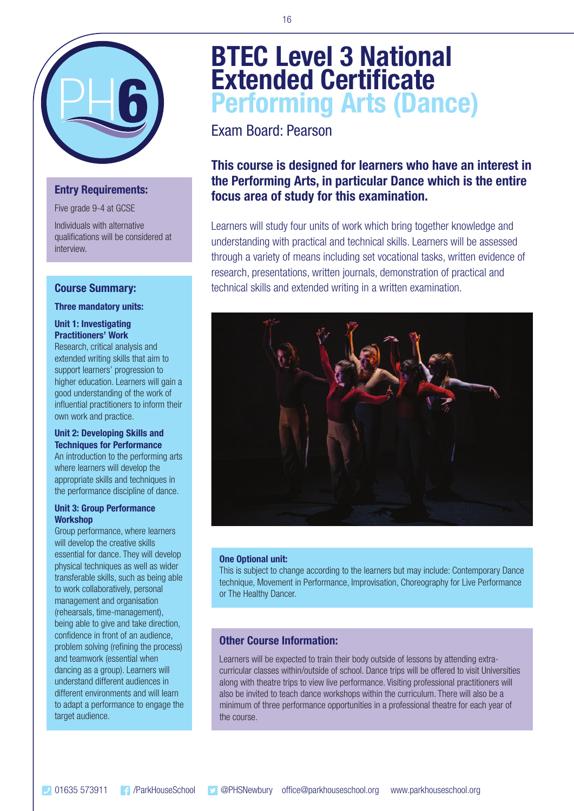

### **Entry Requirements:**

Five grade 9-4 at GCSE

Individuals with alternative qualifications will be considered at interview.

### **Course Summary:**

#### **Three mandatory units:**

### **Unit 1: Investigating Practitioners' Work**

Research, critical analysis and extended writing skills that aim to support learners' progression to higher education. Learners will gain a good understanding of the work of influential practitioners to inform their own work and practice.

### **Unit 2: Developing Skills and Techniques for Performance**

An introduction to the performing arts where learners will develop the appropriate skills and techniques in the performance discipline of dance.

### **Unit 3: Group Performance Workshop**

Group performance, where learners will develop the creative skills essential for dance. They will develop physical techniques as well as wider transferable skills, such as being able to work collaboratively, personal management and organisation (rehearsals, time-management), being able to give and take direction, confidence in front of an audience, problem solving (refining the process) and teamwork (essential when dancing as a group). Learners will understand different audiences in different environments and will learn to adapt a performance to engage the target audience.

# **BTEC Level 3 National Extended Certificate Performing Arts (Dance)**

Exam Board: Pearson

### **This course is designed for learners who have an interest in the Performing Arts, in particular Dance which is the entire focus area of study for this examination.**

Learners will study four units of work which bring together knowledge and understanding with practical and technical skills. Learners will be assessed through a variety of means including set vocational tasks, written evidence of research, presentations, written journals, demonstration of practical and technical skills and extended writing in a written examination.



### **One Optional unit:**

This is subject to change according to the learners but may include: Contemporary Dance technique, Movement in Performance, Improvisation, Choreography for Live Performance or The Healthy Dancer.

### **Other Course Information:**

Learners will be expected to train their body outside of lessons by attending extracurricular classes within/outside of school. Dance trips will be offered to visit Universities along with theatre trips to view live performance. Visiting professional practitioners will also be invited to teach dance workshops within the curriculum. There will also be a minimum of three performance opportunities in a professional theatre for each year of the course.